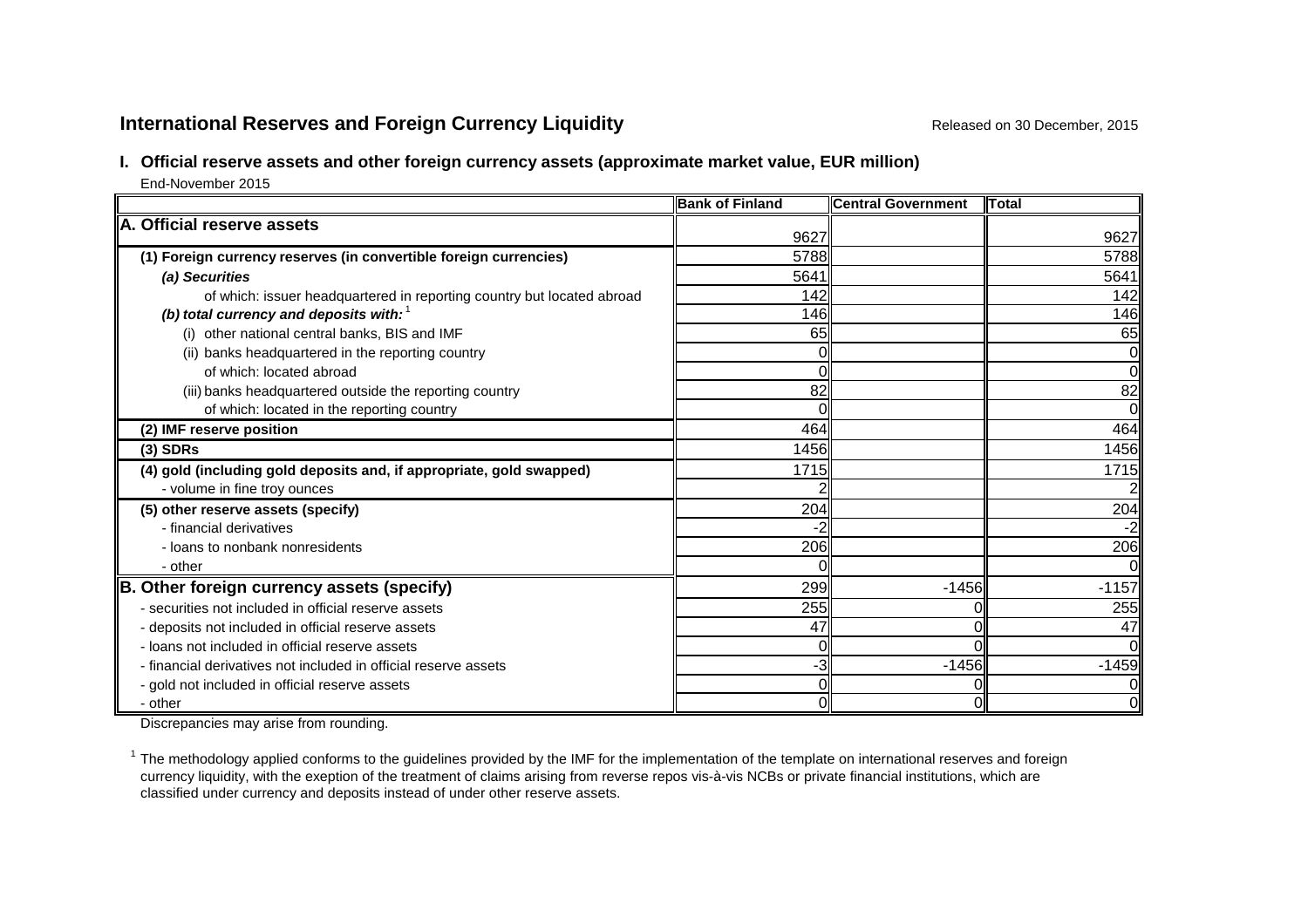#### **International Reserves and Foreign Currency Liquidity Released on 30 December, 2015** Released on 30 December, 2015

#### **I. Official reserve assets and other foreign currency assets (approximate market value, EUR million)**

End-November 2015

|                                                                        | <b>Bank of Finland</b> | <b>Central Government</b> | <b>ITotal</b> |
|------------------------------------------------------------------------|------------------------|---------------------------|---------------|
| A. Official reserve assets                                             |                        |                           |               |
|                                                                        | 9627                   |                           | 9627          |
| (1) Foreign currency reserves (in convertible foreign currencies)      | 5788                   |                           | 5788          |
| (a) Securities                                                         | 5641                   |                           | 5641          |
| of which: issuer headquartered in reporting country but located abroad | 142                    |                           | 142           |
| (b) total currency and deposits with: $1$                              | 146                    |                           | 146           |
| (i) other national central banks, BIS and IMF                          | 65                     |                           | 65            |
| (ii) banks headquartered in the reporting country                      |                        |                           |               |
| of which: located abroad                                               |                        |                           |               |
| (iii) banks headquartered outside the reporting country                | 82                     |                           | 82            |
| of which: located in the reporting country                             |                        |                           | $\Omega$      |
| (2) IMF reserve position                                               | 464                    |                           | 464           |
| $(3)$ SDRs                                                             | 1456                   |                           | 1456          |
| (4) gold (including gold deposits and, if appropriate, gold swapped)   | 1715                   |                           | 1715          |
| - volume in fine troy ounces                                           |                        |                           |               |
| (5) other reserve assets (specify)                                     | 204                    |                           | 204           |
| - financial derivatives                                                | -2                     |                           | $-2$          |
| - loans to nonbank nonresidents                                        | 206                    |                           | 206           |
| - other                                                                |                        |                           |               |
| B. Other foreign currency assets (specify)                             | 299                    | $-1456$                   | $-1157$       |
| - securities not included in official reserve assets                   | 255                    |                           | 255           |
| - deposits not included in official reserve assets                     | 47                     | 0                         | 47            |
| - loans not included in official reserve assets                        |                        |                           |               |
| - financial derivatives not included in official reserve assets        | -3                     | $-1456$                   | $-1459$       |
| - gold not included in official reserve assets                         |                        |                           |               |
| - other                                                                | 0                      | $\Omega$                  | 0             |

Discrepancies may arise from rounding.

 $1$  The methodology applied conforms to the guidelines provided by the IMF for the implementation of the template on international reserves and foreign currency liquidity, with the exeption of the treatment of claims arising from reverse repos vis-à-vis NCBs or private financial institutions, which are classified under currency and deposits instead of under other reserve assets.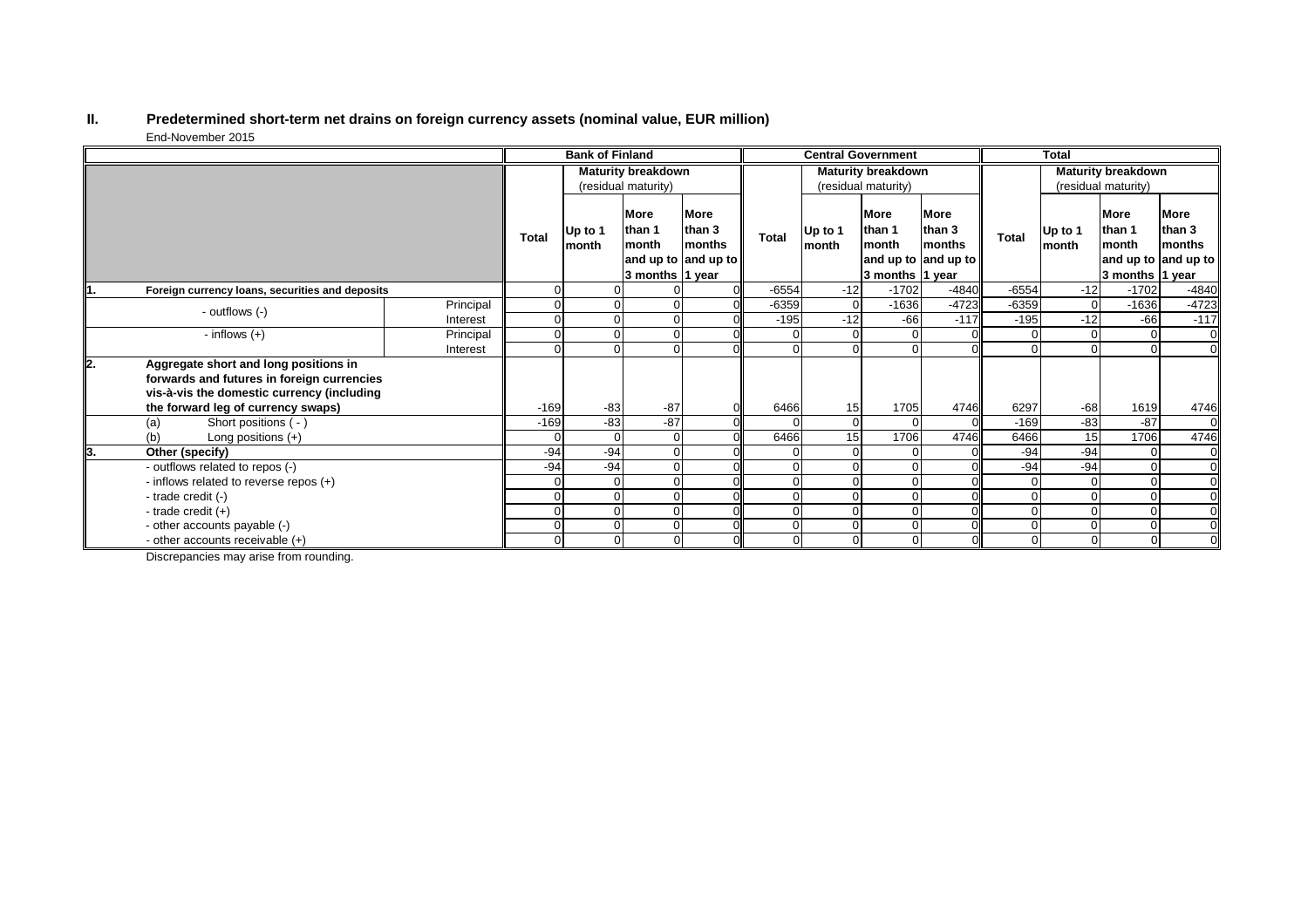## **II. Predetermined short-term net drains on foreign currency assets (nominal value, EUR million)** End-November 2015

|    |                                                                                                                                   |           | <b>Bank of Finland</b>                           |                          |                                            | <b>Central Government</b>                              |              |                  | <b>Total</b>                                      |                                                        |              |                  |                                                      |                                                        |
|----|-----------------------------------------------------------------------------------------------------------------------------------|-----------|--------------------------------------------------|--------------------------|--------------------------------------------|--------------------------------------------------------|--------------|------------------|---------------------------------------------------|--------------------------------------------------------|--------------|------------------|------------------------------------------------------|--------------------------------------------------------|
|    |                                                                                                                                   |           | <b>Maturity breakdown</b><br>(residual maturity) |                          |                                            | <b>Maturity breakdown</b><br>(residual maturity)       |              |                  | <b>Maturity breakdown</b><br>(residual maturity)  |                                                        |              |                  |                                                      |                                                        |
|    |                                                                                                                                   |           | <b>Total</b>                                     | Up to 1<br><b>Imonth</b> | More<br>than 1<br>month<br>3 months 1 year | More<br>than 3<br><b>months</b><br>and up to and up to | <b>Total</b> | Up to 1<br>month | <b>More</b><br>than 1<br>month<br>3 months 1 year | <b>More</b><br>than 3<br>months<br>and up to and up to | <b>Total</b> | Up to 1<br>month | <b>More</b><br>than 1<br>month<br>3 months $ 1$ year | <b>More</b><br>than 3<br>months<br>and up to and up to |
|    | Foreign currency loans, securities and deposits                                                                                   |           | 0                                                |                          |                                            |                                                        | $-6554$      | $-12$            | $-1702$                                           | $-4840$                                                | $-6554$      | $-12$            | $-1702$                                              | $-4840$                                                |
|    | - outflows (-)                                                                                                                    | Principal |                                                  |                          |                                            |                                                        | $-6359$      |                  | $-1636$                                           | $-4723$                                                | $-6359$      | $\overline{0}$   | $-1636$                                              | $-4723$                                                |
|    |                                                                                                                                   | Interest  | $\Omega$                                         |                          |                                            |                                                        | $-195$       | $-12$            | $-66$                                             | $-117$                                                 | $-195$       | $-12$            | $-66$                                                | $-117$                                                 |
|    | - inflows $(+)$                                                                                                                   | Principal | 0                                                |                          |                                            |                                                        | $\Omega$     |                  | $\Omega$                                          |                                                        |              | 0                | 0                                                    | $\overline{0}$                                         |
|    |                                                                                                                                   | Interest  | $\Omega$                                         |                          |                                            |                                                        | $\Omega$     |                  | $\Omega$                                          |                                                        | $\Omega$     | $\Omega$         | $\Omega$                                             | $\overline{0}$                                         |
| 2. | Aggregate short and long positions in<br>forwards and futures in foreign currencies<br>vis-à-vis the domestic currency (including |           |                                                  |                          |                                            |                                                        |              |                  |                                                   |                                                        |              |                  |                                                      |                                                        |
|    | the forward leg of currency swaps)                                                                                                |           | $-169$                                           | $-83$                    | $-87$                                      |                                                        | 6466         | 15               | 1705                                              | 4746                                                   | 6297         | $-68$            | 1619                                                 | 4746                                                   |
|    | Short positions ( - )<br>(a)                                                                                                      |           | $-169$                                           | $\frac{1}{2}$            | $-87$                                      |                                                        |              |                  | $\Omega$                                          |                                                        | $-169$       | $-83$            | $-87$                                                | $\Omega$                                               |
|    | (b)<br>Long positions (+)                                                                                                         |           | 0                                                | O                        |                                            |                                                        | 6466         | 15               | 1706                                              | 4746                                                   | 6466         | 15               | 1706                                                 | 4746                                                   |
| 3. | Other (specify)                                                                                                                   |           | $-94$                                            | $-94$                    |                                            |                                                        |              |                  |                                                   |                                                        | $-94$        | $-94$            |                                                      | $\overline{0}$                                         |
|    | - outflows related to repos (-)                                                                                                   |           | $-94$                                            | $-94$                    |                                            |                                                        |              |                  | $\Omega$                                          |                                                        | $-94$        | $-94$            | $\Omega$                                             | $\overline{0}$                                         |
|    | - inflows related to reverse repos (+)                                                                                            |           | $\Omega$                                         |                          |                                            |                                                        | $\Omega$     |                  | $\Omega$                                          |                                                        | 0            | 0                |                                                      | $\overline{0}$                                         |
|    | - trade credit (-)                                                                                                                |           |                                                  |                          |                                            |                                                        |              |                  | $\Omega$                                          |                                                        |              | $\Omega$         |                                                      | <sub>0</sub>                                           |
|    | - trade credit $(+)$                                                                                                              |           | 0                                                |                          |                                            |                                                        | $\Omega$     |                  | $\Omega$                                          |                                                        |              | 0                |                                                      | 0l                                                     |
|    | - other accounts payable (-)                                                                                                      |           | $\Omega$                                         |                          | U                                          |                                                        | $\Omega$     |                  | $\mathbf 0$                                       |                                                        | 0            | 0                | $\overline{0}$                                       | $\overline{0}$                                         |
|    | - other accounts receivable $(+)$                                                                                                 |           |                                                  |                          | 0                                          |                                                        | 01           |                  | $\mathbf 0$                                       |                                                        | $\Omega$     | 0                | $\overline{0}$                                       | $\overline{0}$                                         |

Discrepancies may arise from rounding.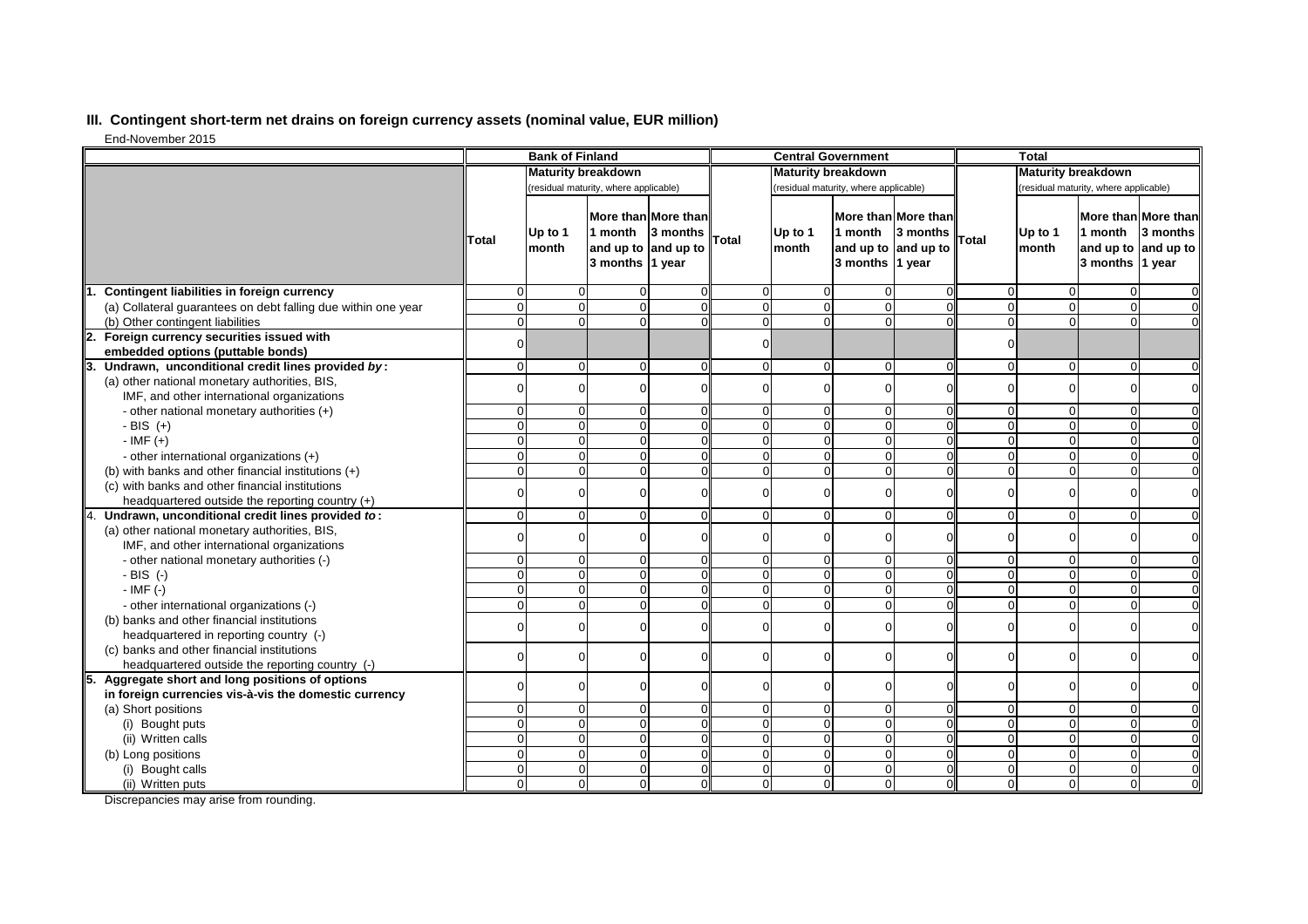# **III. Contingent short-term net drains on foreign currency assets (nominal value, EUR million)**

End-November 2015

|                                                               | <b>Bank of Finland</b>    |                                       |                            | <b>Central Government</b>                              |                |                                       |                            | <b>Total</b>                                           |                     |                                       |                                             |                                            |
|---------------------------------------------------------------|---------------------------|---------------------------------------|----------------------------|--------------------------------------------------------|----------------|---------------------------------------|----------------------------|--------------------------------------------------------|---------------------|---------------------------------------|---------------------------------------------|--------------------------------------------|
|                                                               | <b>Maturity breakdown</b> |                                       |                            | <b>Maturity breakdown</b>                              |                |                                       |                            | <b>Maturity breakdown</b>                              |                     |                                       |                                             |                                            |
|                                                               |                           | (residual maturity, where applicable) |                            |                                                        |                | (residual maturity, where applicable) |                            |                                                        |                     | (residual maturity, where applicable) |                                             |                                            |
|                                                               | lTotal                    | Up to 1<br>month                      | 1 month<br>3 months 1 year | More than More than<br>3 months<br>and up to and up to | Total          | Up to 1<br>month                      | 1 month<br>3 months 1 year | More than More than<br>3 months<br>and up to and up to | Total               | Up to 1<br>month                      | 1 month $\vert$ 3 months<br>3 months 1 year | More than More than<br>and up to and up to |
| Contingent liabilities in foreign currency                    |                           |                                       |                            |                                                        |                |                                       |                            |                                                        | $\overline{0}$      | 0                                     | 0                                           |                                            |
| (a) Collateral guarantees on debt falling due within one year |                           |                                       |                            |                                                        | $\Omega$       |                                       |                            |                                                        | $\overline{0}$      | $\overline{0}$                        | $\overline{0}$                              |                                            |
| (b) Other contingent liabilities                              | 0                         |                                       | $\Omega$                   |                                                        |                | O                                     |                            |                                                        | $\overline{0}$      | $\overline{0}$                        | $\overline{0}$                              |                                            |
| Foreign currency securities issued with                       |                           |                                       |                            |                                                        |                |                                       |                            |                                                        |                     |                                       |                                             |                                            |
| embedded options (puttable bonds)                             | 0                         |                                       |                            |                                                        |                |                                       |                            |                                                        | $\Omega$            |                                       |                                             |                                            |
| Undrawn, unconditional credit lines provided by:              | 0                         |                                       | $\Omega$                   |                                                        | $\Omega$       | $\Omega$                              |                            |                                                        | $\overline{O}$      | $\overline{0}$                        | $\overline{0}$                              |                                            |
| (a) other national monetary authorities, BIS,                 |                           |                                       |                            |                                                        |                |                                       |                            |                                                        | 0                   |                                       |                                             |                                            |
| IMF, and other international organizations                    |                           |                                       |                            |                                                        |                |                                       |                            |                                                        |                     | $\Omega$                              | 0                                           |                                            |
| - other national monetary authorities (+)                     | 0                         |                                       | $\overline{0}$             |                                                        | $\Omega$       | O                                     |                            |                                                        | $\mathbf 0$         | $\overline{0}$                        | $\overline{0}$                              |                                            |
| $-BIS (+)$                                                    | $\Omega$                  |                                       |                            |                                                        | $\Omega$       | 0                                     |                            |                                                        | $\mathbf 0$         | $\mathbf 0$                           | $\overline{0}$                              | $\Omega$                                   |
| $-IMF (+)$                                                    |                           |                                       |                            |                                                        | $\Omega$       |                                       |                            |                                                        | $\mathbf 0$         | $\mathbf 0$                           | $\overline{0}$                              | $\overline{0}$                             |
| - other international organizations (+)                       | $\Omega$                  |                                       |                            |                                                        | ∩              |                                       |                            |                                                        | $\mathsf{O}\xspace$ | $\mathbf 0$                           | $\overline{0}$                              | $\overline{0}$                             |
| (b) with banks and other financial institutions (+)           | $\Omega$                  |                                       |                            |                                                        | $\Omega$       | $\Omega$                              |                            |                                                        | $\overline{0}$      | $\Omega$                              | $\overline{0}$                              | $\overline{0}$                             |
| (c) with banks and other financial institutions               |                           |                                       |                            |                                                        | $\Omega$       |                                       |                            |                                                        | 0                   | $\Omega$                              | $\Omega$                                    |                                            |
| headquartered outside the reporting country (+)               |                           |                                       |                            |                                                        |                |                                       |                            |                                                        |                     |                                       |                                             |                                            |
| Undrawn, unconditional credit lines provided to:              | 0                         |                                       | O                          |                                                        | $\Omega$       | 0                                     |                            |                                                        | $\mathbf 0$         | $\overline{0}$                        | $\overline{0}$                              | $\overline{0}$                             |
| (a) other national monetary authorities, BIS,                 |                           |                                       |                            |                                                        | ∩              |                                       |                            |                                                        | $\Omega$            | $\mathbf 0$                           | 0                                           | $\Omega$                                   |
| IMF, and other international organizations                    |                           |                                       |                            |                                                        |                |                                       |                            |                                                        |                     |                                       |                                             |                                            |
| - other national monetary authorities (-)                     | 0                         |                                       | $\Omega$                   |                                                        | $\Omega$       | $\Omega$                              |                            |                                                        | $\mathbf 0$         | $\mathbf 0$                           | $\overline{0}$                              | $\Omega$                                   |
| $-BIS$ (-)                                                    | $\Omega$                  |                                       | $\Omega$                   |                                                        | $\Omega$       | $\Omega$                              |                            |                                                        | $\mathbf 0$         | $\mathbf 0$                           | $\overline{0}$                              | $\Omega$                                   |
| $-$ IMF $(-)$                                                 | $\Omega$                  |                                       |                            |                                                        | $\Omega$       |                                       |                            |                                                        | $\overline{0}$      | $\overline{0}$                        | $\overline{0}$                              | $\Omega$                                   |
| - other international organizations (-)                       |                           |                                       |                            |                                                        |                |                                       |                            |                                                        | $\overline{0}$      | $\mathbf 0$                           | $\overline{0}$                              | $\overline{0}$                             |
| (b) banks and other financial institutions                    |                           |                                       |                            |                                                        | $\Omega$       |                                       |                            |                                                        | $\Omega$            | $\Omega$                              | $\Omega$                                    | $\Omega$                                   |
| headquartered in reporting country (-)                        |                           |                                       |                            |                                                        |                |                                       |                            |                                                        |                     |                                       |                                             |                                            |
| (c) banks and other financial institutions                    |                           |                                       |                            |                                                        | ∩              |                                       |                            |                                                        | 0                   | $\Omega$                              | 0                                           |                                            |
| headquartered outside the reporting country (-)               |                           |                                       |                            |                                                        |                |                                       |                            |                                                        |                     |                                       |                                             |                                            |
| 15.<br>Aggregate short and long positions of options          | <sup>0</sup>              |                                       | ΟI<br>υI                   |                                                        | <sup>0</sup>   | <sup>0</sup>                          | ΟI                         | OΠ                                                     | ΩI                  | ΩI                                    | <sup>0</sup>                                |                                            |
| in foreign currencies vis-à-vis the domestic currency         |                           |                                       |                            |                                                        |                |                                       |                            |                                                        |                     |                                       |                                             |                                            |
| (a) Short positions                                           | $\overline{0}$            | $\Omega$                              | 0                          |                                                        | $\Omega$       |                                       |                            |                                                        | $\overline{0}$      | $\overline{0}$                        | $\overline{0}$                              | $\overline{0}$                             |
| (i) Bought puts                                               | $\Omega$                  |                                       | $\Omega$                   |                                                        | $\Omega$       | $\Omega$                              |                            |                                                        | $\overline{0}$      | $\overline{0}$                        | $\overline{0}$                              | $\overline{0}$                             |
| (ii) Written calls                                            | $\Omega$                  |                                       | $\Omega$                   |                                                        | $\Omega$       | $\Omega$                              |                            |                                                        | $\overline{O}$      | $\overline{0}$                        | $\overline{0}$                              | $\overline{0}$                             |
| (b) Long positions                                            | $\Omega$                  |                                       | $\overline{0}$             |                                                        | $\Omega$       | $\Omega$                              |                            |                                                        | $\overline{0}$      | $\overline{0}$                        | $\overline{0}$                              | $\overline{0}$                             |
| (i) Bought calls                                              | <sup>0</sup>              | $\Omega$                              | $\overline{0}$             |                                                        | $\mathbf 0$    | $\Omega$                              |                            |                                                        | $\overline{O}$      | $\overline{0}$                        | $\overline{0}$                              | $\overline{0}$                             |
| (ii) Written puts                                             | $\overline{0}$            | $\Omega$                              | $\overline{0}$             |                                                        | $\overline{0}$ | 0I                                    | $\Omega$                   | U                                                      | 0                   | 0                                     | 0                                           | $\overline{0}$                             |

Discrepancies may arise from rounding.